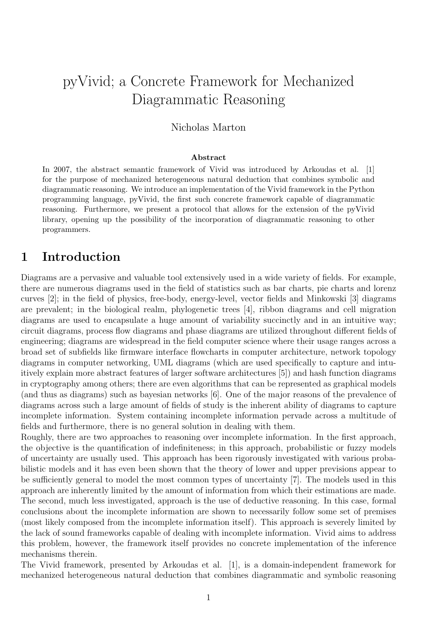# pyVivid; a Concrete Framework for Mechanized Diagrammatic Reasoning

## Nicholas Marton

#### Abstract

In 2007, the abstract semantic framework of Vivid was introduced by Arkoudas et al. [1] for the purpose of mechanized heterogeneous natural deduction that combines symbolic and diagrammatic reasoning. We introduce an implementation of the Vivid framework in the Python programming language, pyVivid, the first such concrete framework capable of diagrammatic reasoning. Furthermore, we present a protocol that allows for the extension of the pyVivid library, opening up the possibility of the incorporation of diagrammatic reasoning to other programmers.

## 1 Introduction

Diagrams are a pervasive and valuable tool extensively used in a wide variety of fields. For example, there are numerous diagrams used in the field of statistics such as bar charts, pie charts and lorenz curves [2]; in the field of physics, free-body, energy-level, vector fields and Minkowski [3] diagrams are prevalent; in the biological realm, phylogenetic trees [4], ribbon diagrams and cell migration diagrams are used to encapsulate a huge amount of variability succinctly and in an intuitive way; circuit diagrams, process flow diagrams and phase diagrams are utilized throughout different fields of engineering; diagrams are widespread in the field computer science where their usage ranges across a broad set of subfields like firmware interface flowcharts in computer architecture, network topology diagrams in computer networking, UML diagrams (which are used specifically to capture and intuitively explain more abstract features of larger software architectures [5]) and hash function diagrams in cryptography among others; there are even algorithms that can be represented as graphical models (and thus as diagrams) such as bayesian networks [6]. One of the major reasons of the prevalence of diagrams across such a large amount of fields of study is the inherent ability of diagrams to capture incomplete information. System containing incomplete information pervade across a multitude of fields and furthermore, there is no general solution in dealing with them.

Roughly, there are two approaches to reasoning over incomplete information. In the first approach, the objective is the quantification of indefiniteness; in this approach, probabilistic or fuzzy models of uncertainty are usually used. This approach has been rigorously investigated with various probabilistic models and it has even been shown that the theory of lower and upper previsions appear to be sufficiently general to model the most common types of uncertainty [7]. The models used in this approach are inherently limited by the amount of information from which their estimations are made. The second, much less investigated, approach is the use of deductive reasoning. In this case, formal conclusions about the incomplete information are shown to necessarily follow some set of premises (most likely composed from the incomplete information itself). This approach is severely limited by the lack of sound frameworks capable of dealing with incomplete information. Vivid aims to address this problem, however, the framework itself provides no concrete implementation of the inference mechanisms therein.

The Vivid framework, presented by Arkoudas et al. [1], is a domain-independent framework for mechanized heterogeneous natural deduction that combines diagrammatic and symbolic reasoning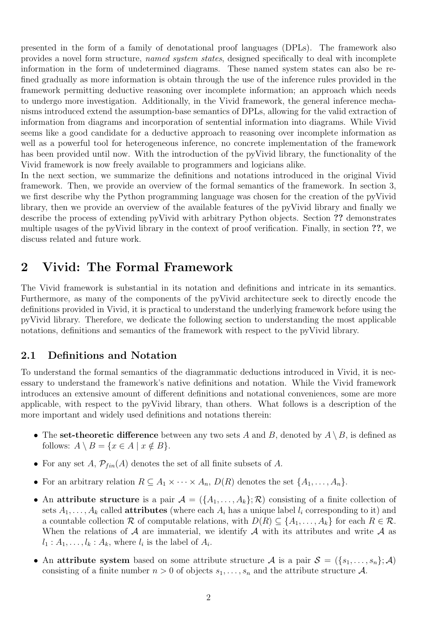presented in the form of a family of denotational proof languages (DPLs). The framework also provides a novel form structure, named system states, designed specifically to deal with incomplete information in the form of undetermined diagrams. These named system states can also be refined gradually as more information is obtain through the use of the inference rules provided in the framework permitting deductive reasoning over incomplete information; an approach which needs to undergo more investigation. Additionally, in the Vivid framework, the general inference mechanisms introduced extend the assumption-base semantics of DPLs, allowing for the valid extraction of information from diagrams and incorporation of sentential information into diagrams. While Vivid seems like a good candidate for a deductive approach to reasoning over incomplete information as well as a powerful tool for heterogeneous inference, no concrete implementation of the framework has been provided until now. With the introduction of the pyVivid library, the functionality of the Vivid framework is now freely available to programmers and logicians alike.

In the next section, we summarize the definitions and notations introduced in the original Vivid framework. Then, we provide an overview of the formal semantics of the framework. In section 3, we first describe why the Python programming language was chosen for the creation of the pyVivid library, then we provide an overview of the available features of the pyVivid library and finally we describe the process of extending pyVivid with arbitrary Python objects. Section ?? demonstrates multiple usages of the pyVivid library in the context of proof verification. Finally, in section ??, we discuss related and future work.

## 2 Vivid: The Formal Framework

The Vivid framework is substantial in its notation and definitions and intricate in its semantics. Furthermore, as many of the components of the pyVivid architecture seek to directly encode the definitions provided in Vivid, it is practical to understand the underlying framework before using the pyVivid library. Therefore, we dedicate the following section to understanding the most applicable notations, definitions and semantics of the framework with respect to the pyVivid library.

### 2.1 Definitions and Notation

To understand the formal semantics of the diagrammatic deductions introduced in Vivid, it is necessary to understand the framework's native definitions and notation. While the Vivid framework introduces an extensive amount of different definitions and notational conveniences, some are more applicable, with respect to the pyVivid library, than others. What follows is a description of the more important and widely used definitions and notations therein:

- The set-theoretic difference between any two sets A and B, denoted by  $A \setminus B$ , is defined as follows:  $A \setminus B = \{x \in A \mid x \notin B\}.$
- For any set A,  $\mathcal{P}_{fin}(A)$  denotes the set of all finite subsets of A.
- For an arbitrary relation  $R \subseteq A_1 \times \cdots \times A_n$ ,  $D(R)$  denotes the set  $\{A_1, \ldots, A_n\}$ .
- An attribute structure is a pair  $\mathcal{A} = (\{A_1, \ldots, A_k\}; \mathcal{R})$  consisting of a finite collection of sets  $A_1, \ldots, A_k$  called **attributes** (where each  $A_i$  has a unique label  $l_i$  corresponding to it) and a countable collection R of computable relations, with  $D(R) \subseteq \{A_1, \ldots, A_k\}$  for each  $R \in \mathcal{R}$ . When the relations of  $A$  are immaterial, we identify  $A$  with its attributes and write  $A$  as  $l_1: A_1, \ldots, l_k: A_k$ , where  $l_i$  is the label of  $A_i$ .
- An attribute system based on some attribute structure A is a pair  $S = (\{s_1, \ldots, s_n\}; \mathcal{A})$ consisting of a finite number  $n > 0$  of objects  $s_1, \ldots, s_n$  and the attribute structure A.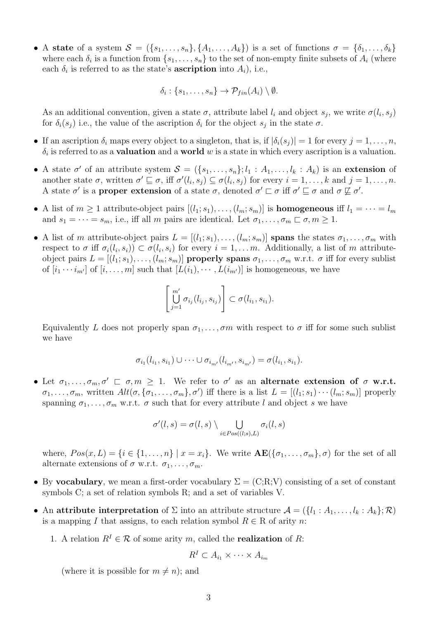• A state of a system  $S = (\{s_1, \ldots, s_n\}, \{A_1, \ldots, A_k\})$  is a set of functions  $\sigma = \{\delta_1, \ldots, \delta_k\}$ where each  $\delta_i$  is a function from  $\{s_1, \ldots, s_n\}$  to the set of non-empty finite subsets of  $A_i$  (where each  $\delta_i$  is referred to as the state's **ascription** into  $A_i$ ), i.e.,

$$
\delta_i: \{s_1, \ldots, s_n\} \to \mathcal{P}_{fin}(A_i) \setminus \emptyset.
$$

As an additional convention, given a state  $\sigma$ , attribute label  $l_i$  and object  $s_j$ , we write  $\sigma(l_i, s_j)$ for  $\delta_i(s_j)$  i.e., the value of the ascription  $\delta_i$  for the object  $s_j$  in the state  $\sigma$ .

- If an ascription  $\delta_i$  maps every object to a singleton, that is, if  $|\delta_i(s_j)| = 1$  for every  $j = 1, \ldots, n$ ,  $\delta_i$  is referred to as a **valuation** and a **world** w is a state in which every ascription is a valuation.
- A state  $\sigma'$  of an attribute system  $S = (\{s_1, \ldots, s_n\}; l_1 : A_1, \ldots, l_k : A_k)$  is an extension of another state  $\sigma$ , written  $\sigma' \sqsubseteq \sigma$ , iff  $\sigma'(l_i, s_j) \subseteq \sigma(l_i, s_j)$  for every  $i = 1, \ldots, k$  and  $j = 1, \ldots, n$ . A state  $\sigma'$  is a **proper extension** of a state  $\sigma$ , denoted  $\sigma' \sqsubset \sigma$  iff  $\sigma' \sqsubseteq \sigma$  and  $\sigma \not\sqsubseteq \sigma'$ .
- A list of  $m \geq 1$  attribute-object pairs  $[(l_1; s_1), \ldots, (l_m; s_m)]$  is **homogeneous** iff  $l_1 = \cdots = l_m$ and  $s_1 = \cdots = s_m$ , i.e., iff all m pairs are identical. Let  $\sigma_1, \ldots, \sigma_m \sqsubset \sigma, m \ge 1$ .
- A list of m attribute-object pairs  $L = [(l_1; s_1), \ldots, (l_m; s_m)]$  spans the states  $\sigma_1, \ldots, \sigma_m$  with respect to  $\sigma$  iff  $\sigma_i(l_i, s_i)$   $\subset \sigma(l_i, s_i)$  for every  $i = 1, \ldots m$ . Additionally, a list of m attributeobject pairs  $L = [(l_1; s_1), \ldots, (l_m; s_m)]$  properly spans  $\sigma_1, \ldots, \sigma_m$  w.r.t.  $\sigma$  iff for every sublist of  $[i_1 \cdots i_{m'}]$  of  $[i, \ldots, m]$  such that  $[L(i_1), \cdots, L(i_{m'})]$  is homogeneous, we have

$$
\left[\bigcup_{j=1}^{m'} \sigma_{i_j}(l_{i_j}, s_{i_j})\right] \subset \sigma(l_{i_1}, s_{i_1}).
$$

Equivalently L does not properly span  $\sigma_1, \ldots, \sigma_m$  with respect to  $\sigma$  iff for some such sublist we have

$$
\sigma_{i_1}(l_{i_1}, s_{i_1}) \cup \cdots \cup \sigma_{i_{m'}}(l_{i_{m'}}, s_{i_{m'}}) = \sigma(l_{i_1}, s_{i_1}).
$$

• Let  $\sigma_1,\ldots,\sigma_m,\sigma' \sqsubset \sigma,m \geq 1$ . We refer to  $\sigma'$  as an alternate extension of  $\sigma$  w.r.t.  $\sigma_1,\ldots,\sigma_m$ , written  $Alt(\sigma,\{\sigma_1,\ldots,\sigma_m\},\sigma')$  iff there is a list  $L = [(l_1;s_1)\cdots(l_m;s_m)]$  properly spanning  $\sigma_1, \ldots, \sigma_m$  w.r.t.  $\sigma$  such that for every attribute l and object s we have

$$
\sigma'(l,s) = \sigma(l,s) \setminus \bigcup_{i \in Pos((l,s),L)} \sigma_i(l,s)
$$

where,  $Pos(x, L) = \{i \in \{1, \ldots, n\} \mid x = x_i\}$ . We write  $\mathbf{AE}(\{\sigma_1, \ldots, \sigma_m\}, \sigma)$  for the set of all alternate extensions of  $\sigma$  w.r.t.  $\sigma_1, \ldots, \sigma_m$ .

- By vocabulary, we mean a first-order vocabulary  $\Sigma = (C;R;V)$  consisting of a set of constant symbols C; a set of relation symbols R; and a set of variables V.
- An attribute interpretation of  $\Sigma$  into an attribute structure  $\mathcal{A} = (\{l_1 : A_1, \ldots, l_k : A_k\}; \mathcal{R})$ is a mapping I that assigns, to each relation symbol  $R \in \mathbb{R}$  of arity n:
	- 1. A relation  $R^I \in \mathcal{R}$  of some arity m, called the **realization** of R:

$$
R^I \subset A_{i_1} \times \cdots \times A_{i_m}
$$

(where it is possible for  $m \neq n$ ); and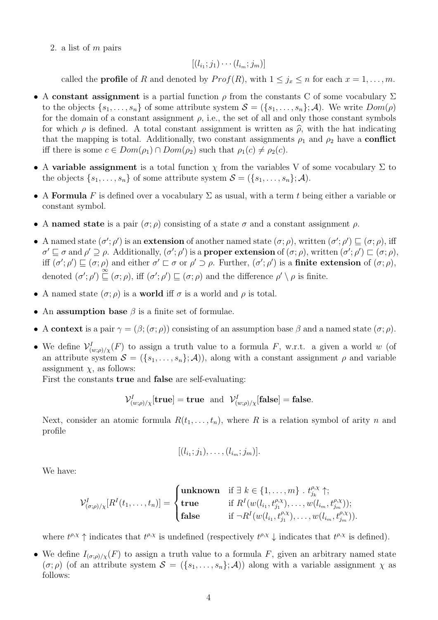2. a list of m pairs

$$
[(l_{i_1};j_1)\cdots(l_{i_m};j_m)]
$$

called the **profile** of R and denoted by  $Prof(R)$ , with  $1 \leq j_x \leq n$  for each  $x = 1, ..., m$ .

- A constant assignment is a partial function  $\rho$  from the constants C of some vocabulary  $\Sigma$ to the objects  $\{s_1, \ldots, s_n\}$  of some attribute system  $\mathcal{S} = (\{s_1, \ldots, s_n\}; \mathcal{A})$ . We write  $Dom(\rho)$ for the domain of a constant assignment  $\rho$ , i.e., the set of all and only those constant symbols for which  $\rho$  is defined. A total constant assignment is written as  $\hat{\rho}$ , with the hat indicating that the mapping is total. Additionally, two constant assignments  $\rho_1$  and  $\rho_2$  have a **conflict** iff there is some  $c \in Dom(\rho_1) \cap Dom(\rho_2)$  such that  $\rho_1(c) \neq \rho_2(c)$ .
- A variable assignment is a total function  $\chi$  from the variables V of some vocabulary  $\Sigma$  to the objects  $\{s_1, \ldots, s_n\}$  of some attribute system  $\mathcal{S} = (\{s_1, \ldots, s_n\}; \mathcal{A})$ .
- A Formula F is defined over a vocabulary  $\Sigma$  as usual, with a term t being either a variable or constant symbol.
- A named state is a pair  $(\sigma; \rho)$  consisting of a state  $\sigma$  and a constant assignment  $\rho$ .
- A named state  $(\sigma'; \rho')$  is an extension of another named state  $(\sigma; \rho)$ , written  $(\sigma'; \rho') \sqsubseteq (\sigma; \rho)$ , iff  $\sigma' \sqsubseteq \sigma$  and  $\rho' \supseteq \rho$ . Additionally,  $(\sigma'; \rho')$  is a **proper extension** of  $(\sigma; \rho)$ , written  $(\sigma'; \rho') \sqsubset (\sigma; \rho)$ , iff  $(\sigma'; \rho') \sqsubseteq (\sigma; \rho)$  and either  $\sigma' \sqsubset \sigma$  or  $\rho' \supset \rho$ . Further,  $(\sigma'; \rho')$  is a **finite extension** of  $(\sigma; \rho)$ , denoted  $(\sigma'; \rho') \sqsubseteq (\sigma; \rho)$ , iff  $(\sigma'; \rho') \sqsubseteq (\sigma; \rho)$  and the difference  $\rho' \setminus \rho$  is finite.
- A named state  $(\sigma; \rho)$  is a world iff  $\sigma$  is a world and  $\rho$  is total.
- An assumption base  $\beta$  is a finite set of formulae.
- A context is a pair  $\gamma = (\beta; (\sigma, \rho))$  consisting of an assumption base  $\beta$  and a named state  $(\sigma, \rho)$ .
- We define  $\mathcal{V}^I_{(w;\rho)/\chi}(F)$  to assign a truth value to a formula F, w.r.t. a given a world w (of an attribute system  $S = (\{s_1, \ldots, s_n\}; \mathcal{A})$ , along with a constant assignment  $\rho$  and variable assignment  $\chi$ , as follows:

First the constants true and false are self-evaluating:

$$
\mathcal{V}_{(w;\rho)/\chi}^I[\mathbf{true}] = \mathbf{true} \text{ and } \mathcal{V}_{(w;\rho)/\chi}^I[\mathbf{false}] = \mathbf{false}.
$$

Next, consider an atomic formula  $R(t_1, \ldots, t_n)$ , where R is a relation symbol of arity n and profile

$$
[(l_{i_1};j_1),\ldots,(l_{i_m};j_m)].
$$

We have:

$$
\mathcal{V}_{(\sigma;\rho)/\chi}^I[R^I(t_1,\ldots,t_n)] = \begin{cases} \textbf{unknown} & \text{if } \exists \ k \in \{1,\ldots,m\} \cdot t_{j_k}^{\rho,\chi} \uparrow; \\ \textbf{true} & \text{if } R^I(w(l_{i_1}, t_{j_1}^{\rho,\chi}),\ldots,w(l_{i_m}, t_{j_m}^{\rho,\chi})); \\ \textbf{false} & \text{if } \neg R^I(w(l_{i_1}, t_{j_1}^{\rho,\chi}),\ldots,w(l_{i_m}, t_{j_m}^{\rho,\chi})). \end{cases}
$$

where  $t^{\rho,\chi} \uparrow$  indicates that  $t^{\rho,\chi}$  is undefined (respectively  $t^{\rho,\chi} \downarrow$  indicates that  $t^{\rho,\chi}$  is defined).

• We define  $I_{(\sigma,\rho)/\gamma}(F)$  to assign a truth value to a formula F, given an arbitrary named state  $(\sigma;\rho)$  (of an attribute system  $\mathcal{S} = (\{s_1,\ldots,s_n\};\mathcal{A})$ ) along with a variable assignment  $\chi$  as follows: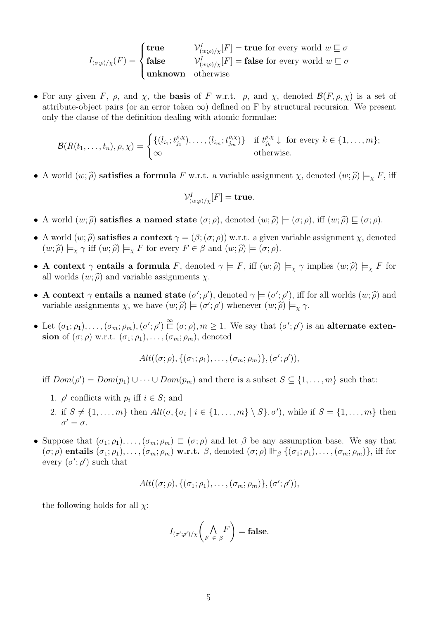$$
I_{(\sigma;\rho)/\chi}(F) = \begin{cases} \textbf{true} & \mathcal{V}_{(w;\rho)/\chi}^I[F] = \textbf{true} \text{ for every world } w \sqsubseteq \sigma \\ \textbf{false} & \mathcal{V}_{(w;\rho)/\chi}^I[F] = \textbf{false} \text{ for every world } w \sqsubseteq \sigma \\ \textbf{unknown} & \text{otherwise} \end{cases}
$$

• For any given F,  $\rho$ , and  $\chi$ , the **basis** of F w.r.t.  $\rho$ , and  $\chi$ , denoted  $\mathcal{B}(F, \rho, \chi)$  is a set of attribute-object pairs (or an error token  $\infty$ ) defined on F by structural recursion. We present only the clause of the definition dealing with atomic formulae:

$$
\mathcal{B}(R(t_1,\ldots,t_n),\rho,\chi)=\begin{cases} \{(l_{i_1};t_{j_1}^{\rho,\chi}),\ldots,(l_{i_m};t_{j_m}^{\rho,\chi})\} & \text{if } t_{j_k}^{\rho,\chi}\downarrow \text{ for every } k\in\{1,\ldots,m\};\\ \infty & \text{otherwise.} \end{cases}
$$

• A world  $(w; \hat{\rho})$  satisfies a formula F w.r.t. a variable assignment  $\chi$ , denoted  $(w; \hat{\rho}) \models_{\chi} F$ , iff

$$
\mathcal{V}_{(w,\rho)/\chi}^I[F] = \mathbf{true}.
$$

- A world  $(w; \hat{\rho})$  satisfies a named state  $(\sigma; \rho)$ , denoted  $(w; \hat{\rho}) \models (\sigma; \rho)$ , iff  $(w; \hat{\rho}) \sqsubseteq (\sigma; \rho)$ .
- A world  $(w; \hat{\rho})$  satisfies a context  $\gamma = (\beta; (\sigma; \rho))$  w.r.t. a given variable assignment  $\chi$ , denoted  $(w; \hat{\rho}) \models_{\chi} \gamma$  iff  $(w; \hat{\rho}) \models_{\chi} F$  for every  $F \in \beta$  and  $(w; \hat{\rho}) \models (\sigma; \rho)$ .
- A context  $\gamma$  entails a formula F, denoted  $\gamma \models F$ , iff  $(w; \hat{\rho}) \models_{\chi} \gamma$  implies  $(w; \hat{\rho}) \models_{\chi} F$  for all worlds  $(w; \hat{\rho})$  and variable assignments  $\chi$ .
- A context  $\gamma$  entails a named state  $(\sigma'; \rho')$ , denoted  $\gamma \models (\sigma'; \rho')$ , iff for all worlds  $(w; \hat{\rho})$  and<br>veriable assignments  $\chi$ , we have  $(w; \hat{\rho}) \models (\sigma'; \rho')$  whenever  $(w; \hat{\rho}) \models \gamma$ . variable assignments  $\chi$ , we have  $(w; \hat{\rho}) \models (\sigma'; \rho')$  whenever  $(w; \hat{\rho}) \models_{\chi} \gamma$ .
- Let  $(\sigma_1; \rho_1), \ldots, (\sigma_m; \rho_m), (\sigma'; \rho') \overset{\infty}{\sqsubset} (\sigma; \rho), m \ge 1$ . We say that  $(\sigma'; \rho')$  is an alternate extension of  $(\sigma;\rho)$  w.r.t.  $(\sigma_1;\rho_1),\ldots,(\sigma_m;\rho_m)$ , denoted

$$
Alt((\sigma;\rho), \{(\sigma_1;\rho_1), \ldots, (\sigma_m;\rho_m)\}, (\sigma';\rho')),
$$

iff  $Dom(\rho') = Dom(p_1) \cup \cdots \cup Dom(p_m)$  and there is a subset  $S \subseteq \{1, \ldots, m\}$  such that:

- 1.  $\rho'$  conflicts with  $p_i$  iff  $i \in S$ ; and
- 2. if  $S \neq \{1, \ldots, m\}$  then  $Alt(\sigma, \{\sigma_i \mid i \in \{1, \ldots, m\} \setminus S\}, \sigma')$ , while if  $S = \{1, \ldots, m\}$  then  $\sigma'=\sigma$ .
- Suppose that  $(\sigma_1; \rho_1), \ldots, (\sigma_m; \rho_m) \sqsubset (\sigma; \rho)$  and let  $\beta$  be any assumption base. We say that  $(\sigma;\rho)$  entails  $(\sigma_1;\rho_1),\ldots,(\sigma_m;\rho_m)$  w.r.t.  $\beta$ , denoted  $(\sigma;\rho)$   $\Vdash_\beta$   $\{(\sigma_1;\rho_1),\ldots,(\sigma_m;\rho_m)\}\$ , iff for every  $(\sigma'; \rho')$  such that

$$
Alt((\sigma;\rho), \{(\sigma_1;\rho_1), \ldots, (\sigma_m;\rho_m)\}, (\sigma';\rho')),
$$

the following holds for all  $\chi$ :

$$
I_{(\sigma';\rho')/\chi}\bigg(\bigwedge_{F\in\beta}\bigwedge_{\beta}F\bigg)=\mathbf{false}.
$$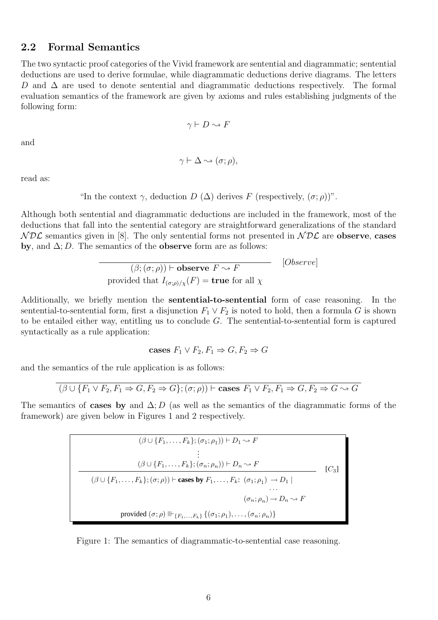### 2.2 Formal Semantics

The two syntactic proof categories of the Vivid framework are sentential and diagrammatic; sentential deductions are used to derive formulae, while diagrammatic deductions derive diagrams. The letters D and  $\Delta$  are used to denote sentential and diagrammatic deductions respectively. The formal evaluation semantics of the framework are given by axioms and rules establishing judgments of the following form:

$$
\gamma \vdash D \leadsto F
$$

and

$$
\gamma\vdash\Delta\leadsto(\sigma;\rho),
$$

read as:

"In the context  $\gamma$ , deduction  $D(\Delta)$  derives F (respectively,  $(\sigma;\rho)$ )".

Although both sentential and diagrammatic deductions are included in the framework, most of the deductions that fall into the sentential category are straightforward generalizations of the standard  $NDL$  semantics given in [8]. The only sentential forms not presented in  $NDL$  are observe, cases by, and  $\Delta$ ; D. The semantics of the **observe** form are as follows:

$$
\frac{(\beta; (\sigma; \rho)) \vdash \text{observe } F \leadsto F}{\text{provided that } I_{(\sigma; \rho)/\chi}(F) = \text{true for all } \chi}
$$
 [Observe]

Additionally, we briefly mention the sentential-to-sentential form of case reasoning. In the sentential-to-sentential form, first a disjunction  $F_1 \vee F_2$  is noted to hold, then a formula G is shown to be entailed either way, entitling us to conclude  $G$ . The sentential-to-sentential form is captured syntactically as a rule application:

cases 
$$
F_1 \vee F_2, F_1 \Rightarrow G, F_2 \Rightarrow G
$$

and the semantics of the rule application is as follows:

$$
(\beta \cup \{F_1 \vee F_2, F_1 \Rightarrow G, F_2 \Rightarrow G\}; (\sigma; \rho)) \vdash \text{cases } F_1 \vee F_2, F_1 \Rightarrow G, F_2 \Rightarrow G \rightsquigarrow G
$$

The semantics of **cases by** and  $\Delta$ ; D (as well as the semantics of the diagrammatic forms of the framework) are given below in Figures 1 and 2 respectively.

$$
(\beta \cup \{F_1, \ldots, F_k\}; (\sigma_1; \rho_1)) \vdash D_1 \sim F
$$
  
\n
$$
\vdots
$$
  
\n
$$
(\beta \cup \{F_1, \ldots, F_k\}; (\sigma_n; \rho_n)) \vdash D_n \sim F
$$
  
\n
$$
(\beta \cup \{F_1, \ldots, F_k\}; (\sigma; \rho)) \vdash \text{cases by } F_1, \ldots, F_k: (\sigma_1; \rho_1) \to D_1 \mid \cdots
$$
  
\n
$$
\vdots
$$
  
\n
$$
(\sigma_n; \rho_n) \to D_n \sim F
$$
  
\nprovided  $(\sigma; \rho) \Vdash_{\{F_1, \ldots, F_k\}} \{(\sigma_1; \rho_1), \ldots, (\sigma_n; \rho_n)\}$ 

Figure 1: The semantics of diagrammatic-to-sentential case reasoning.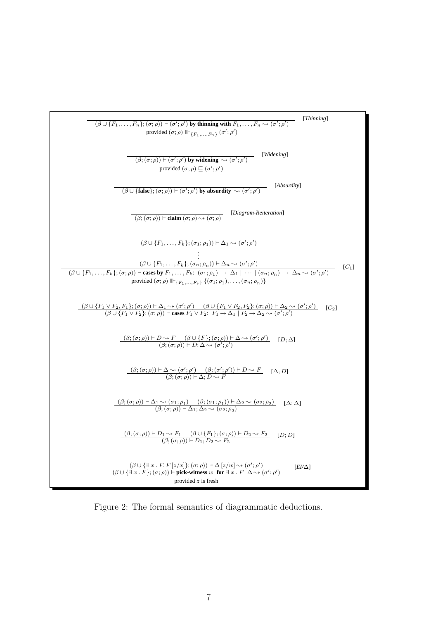

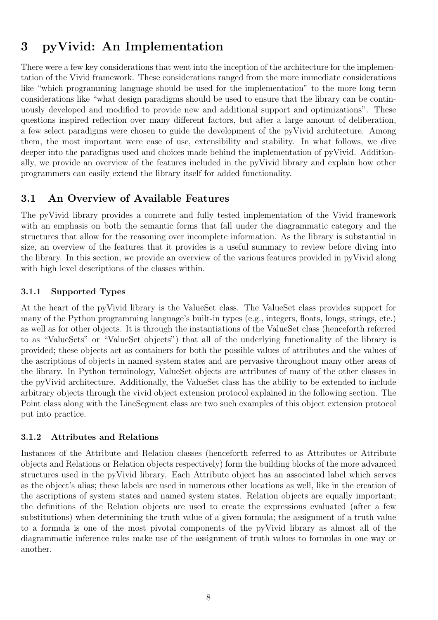## 3 pyVivid: An Implementation

There were a few key considerations that went into the inception of the architecture for the implementation of the Vivid framework. These considerations ranged from the more immediate considerations like "which programming language should be used for the implementation" to the more long term considerations like "what design paradigms should be used to ensure that the library can be continuously developed and modified to provide new and additional support and optimizations". These questions inspired reflection over many different factors, but after a large amount of deliberation, a few select paradigms were chosen to guide the development of the pyVivid architecture. Among them, the most important were ease of use, extensibility and stability. In what follows, we dive deeper into the paradigms used and choices made behind the implementation of pyVivid. Additionally, we provide an overview of the features included in the pyVivid library and explain how other programmers can easily extend the library itself for added functionality.

## 3.1 An Overview of Available Features

The pyVivid library provides a concrete and fully tested implementation of the Vivid framework with an emphasis on both the semantic forms that fall under the diagrammatic category and the structures that allow for the reasoning over incomplete information. As the library is substantial in size, an overview of the features that it provides is a useful summary to review before diving into the library. In this section, we provide an overview of the various features provided in pyVivid along with high level descriptions of the classes within.

### 3.1.1 Supported Types

At the heart of the pyVivid library is the ValueSet class. The ValueSet class provides support for many of the Python programming language's built-in types (e.g., integers, floats, longs, strings, etc.) as well as for other objects. It is through the instantiations of the ValueSet class (henceforth referred to as "ValueSets" or "ValueSet objects") that all of the underlying functionality of the library is provided; these objects act as containers for both the possible values of attributes and the values of the ascriptions of objects in named system states and are pervasive throughout many other areas of the library. In Python terminology, ValueSet objects are attributes of many of the other classes in the pyVivid architecture. Additionally, the ValueSet class has the ability to be extended to include arbitrary objects through the vivid object extension protocol explained in the following section. The Point class along with the LineSegment class are two such examples of this object extension protocol put into practice.

### 3.1.2 Attributes and Relations

Instances of the Attribute and Relation classes (henceforth referred to as Attributes or Attribute objects and Relations or Relation objects respectively) form the building blocks of the more advanced structures used in the pyVivid library. Each Attribute object has an associated label which serves as the object's alias; these labels are used in numerous other locations as well, like in the creation of the ascriptions of system states and named system states. Relation objects are equally important; the definitions of the Relation objects are used to create the expressions evaluated (after a few substitutions) when determining the truth value of a given formula; the assignment of a truth value to a formula is one of the most pivotal components of the pyVivid library as almost all of the diagrammatic inference rules make use of the assignment of truth values to formulas in one way or another.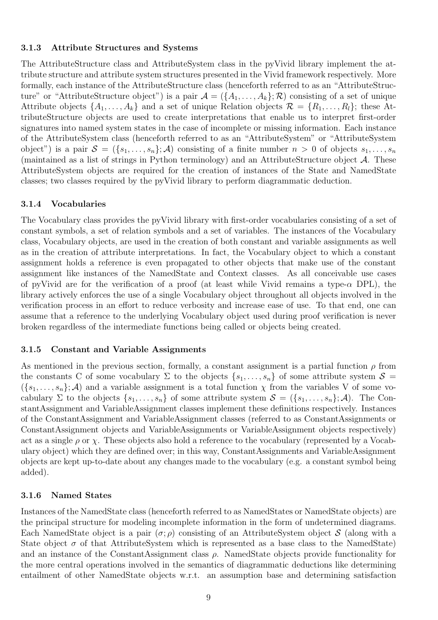#### 3.1.3 Attribute Structures and Systems

The AttributeStructure class and AttributeSystem class in the pyVivid library implement the attribute structure and attribute system structures presented in the Vivid framework respectively. More formally, each instance of the AttributeStructure class (henceforth referred to as an "AttributeStructure" or "AttributeStructure object") is a pair  $\mathcal{A} = (\{A_1, \ldots, A_k\}; \mathcal{R})$  consisting of a set of unique Attribute objects  $\{A_1, \ldots, A_k\}$  and a set of unique Relation objects  $\mathcal{R} = \{R_1, \ldots, R_l\}$ ; these AttributeStructure objects are used to create interpretations that enable us to interpret first-order signatures into named system states in the case of incomplete or missing information. Each instance of the AttributeSystem class (henceforth referred to as an "AttributeSystem" or "AttributeSystem object") is a pair  $S = (\{s_1, \ldots, s_n\}; A)$  consisting of a finite number  $n > 0$  of objects  $s_1, \ldots, s_n$ (maintained as a list of strings in Python terminology) and an AttributeStructure object A. These AttributeSystem objects are required for the creation of instances of the State and NamedState classes; two classes required by the pyVivid library to perform diagrammatic deduction.

#### 3.1.4 Vocabularies

The Vocabulary class provides the pyVivid library with first-order vocabularies consisting of a set of constant symbols, a set of relation symbols and a set of variables. The instances of the Vocabulary class, Vocabulary objects, are used in the creation of both constant and variable assignments as well as in the creation of attribute interpretations. In fact, the Vocabulary object to which a constant assignment holds a reference is even propagated to other objects that make use of the constant assignment like instances of the NamedState and Context classes. As all conceivable use cases of pyVivid are for the verification of a proof (at least while Vivid remains a type- $\alpha$  DPL), the library actively enforces the use of a single Vocabulary object throughout all objects involved in the verification process in an effort to reduce verbosity and increase ease of use. To that end, one can assume that a reference to the underlying Vocabulary object used during proof verification is never broken regardless of the intermediate functions being called or objects being created.

#### 3.1.5 Constant and Variable Assignments

As mentioned in the previous section, formally, a constant assignment is a partial function  $\rho$  from the constants C of some vocabulary  $\Sigma$  to the objects  $\{s_1, \ldots, s_n\}$  of some attribute system  $S =$  $({s_1, \ldots, s_n}; \mathcal{A})$  and a variable assignment is a total function  $\chi$  from the variables V of some vocabulary  $\Sigma$  to the objects  $\{s_1, \ldots, s_n\}$  of some attribute system  $\mathcal{S} = (\{s_1, \ldots, s_n\}; \mathcal{A})$ . The ConstantAssignment and VariableAssignment classes implement these definitions respectively. Instances of the ConstantAssignment and VariableAssignment classes (referred to as ConstantAssignments or ConstantAssignment objects and VariableAssignments or VariableAssignment objects respectively) act as a single  $\rho$  or  $\chi$ . These objects also hold a reference to the vocabulary (represented by a Vocabulary object) which they are defined over; in this way, ConstantAssignments and VariableAssignment objects are kept up-to-date about any changes made to the vocabulary (e.g. a constant symbol being added).

#### 3.1.6 Named States

Instances of the NamedState class (henceforth referred to as NamedStates or NamedState objects) are the principal structure for modeling incomplete information in the form of undetermined diagrams. Each NamedState object is a pair  $(\sigma;\rho)$  consisting of an AttributeSystem object S (along with a State object  $\sigma$  of that AttributeSystem which is represented as a base class to the NamedState) and an instance of the ConstantAssignment class  $\rho$ . NamedState objects provide functionality for the more central operations involved in the semantics of diagrammatic deductions like determining entailment of other NamedState objects w.r.t. an assumption base and determining satisfaction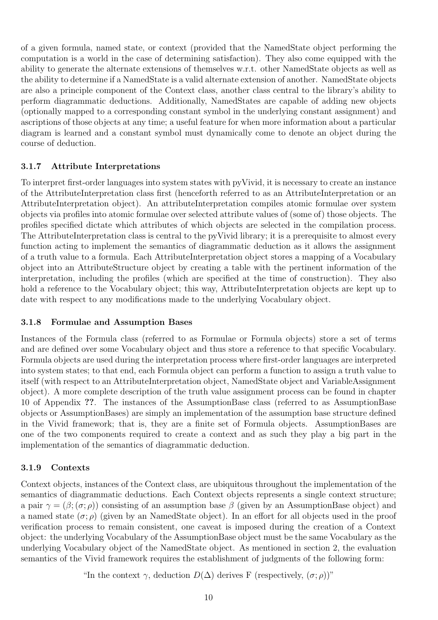of a given formula, named state, or context (provided that the NamedState object performing the computation is a world in the case of determining satisfaction). They also come equipped with the ability to generate the alternate extensions of themselves w.r.t. other NamedState objects as well as the ability to determine if a NamedState is a valid alternate extension of another. NamedState objects are also a principle component of the Context class, another class central to the library's ability to perform diagrammatic deductions. Additionally, NamedStates are capable of adding new objects (optionally mapped to a corresponding constant symbol in the underlying constant assignment) and ascriptions of those objects at any time; a useful feature for when more information about a particular diagram is learned and a constant symbol must dynamically come to denote an object during the course of deduction.

#### 3.1.7 Attribute Interpretations

To interpret first-order languages into system states with pyVivid, it is necessary to create an instance of the AttributeInterpretation class first (henceforth referred to as an AttributeInterpretation or an AttributeInterpretation object). An attributeInterpretation compiles atomic formulae over system objects via profiles into atomic formulae over selected attribute values of (some of) those objects. The profiles specified dictate which attributes of which objects are selected in the compilation process. The AttributeInterpretation class is central to the pyVivid library; it is a prerequisite to almost every function acting to implement the semantics of diagrammatic deduction as it allows the assignment of a truth value to a formula. Each AttributeInterpretation object stores a mapping of a Vocabulary object into an AttributeStructure object by creating a table with the pertinent information of the interpretation, including the profiles (which are specified at the time of construction). They also hold a reference to the Vocabulary object; this way, AttributeInterpretation objects are kept up to date with respect to any modifications made to the underlying Vocabulary object.

#### 3.1.8 Formulae and Assumption Bases

Instances of the Formula class (referred to as Formulae or Formula objects) store a set of terms and are defined over some Vocabulary object and thus store a reference to that specific Vocabulary. Formula objects are used during the interpretation process where first-order languages are interpreted into system states; to that end, each Formula object can perform a function to assign a truth value to itself (with respect to an AttributeInterpretation object, NamedState object and VariableAssignment object). A more complete description of the truth value assignment process can be found in chapter 10 of Appendix ??. The instances of the AssumptionBase class (referred to as AssumptionBase objects or AssumptionBases) are simply an implementation of the assumption base structure defined in the Vivid framework; that is, they are a finite set of Formula objects. AssumptionBases are one of the two components required to create a context and as such they play a big part in the implementation of the semantics of diagrammatic deduction.

### 3.1.9 Contexts

Context objects, instances of the Context class, are ubiquitous throughout the implementation of the semantics of diagrammatic deductions. Each Context objects represents a single context structure; a pair  $\gamma = (\beta; (\sigma, \rho))$  consisting of an assumption base  $\beta$  (given by an Assumption Base object) and a named state  $(\sigma, \rho)$  (given by an NamedState object). In an effort for all objects used in the proof verification process to remain consistent, one caveat is imposed during the creation of a Context object: the underlying Vocabulary of the AssumptionBase object must be the same Vocabulary as the underlying Vocabulary object of the NamedState object. As mentioned in section 2, the evaluation semantics of the Vivid framework requires the establishment of judgments of the following form:

"In the context  $\gamma$ , deduction  $D(\Delta)$  derives F (respectively,  $(\sigma; \rho)$ )"